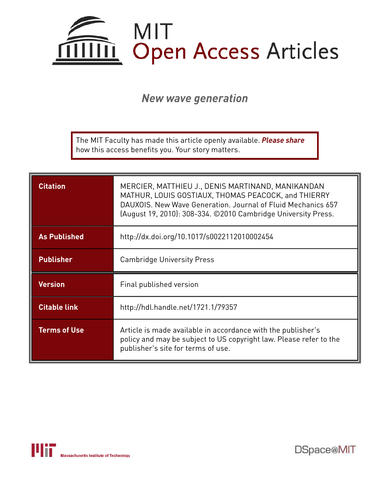

*New wave generation*

The MIT Faculty has made this article openly available. *Please share*  how this access benefits you. Your story matters.

| <b>Citation</b>     | MERCIER, MATTHIEU J., DENIS MARTINAND, MANIKANDAN<br>MATHUR, LOUIS GOSTIAUX, THOMAS PEACOCK, and THIERRY<br>DAUXOIS, New Wave Generation, Journal of Fluid Mechanics 657<br>(August 19, 2010): 308-334. ©2010 Cambridge University Press. |
|---------------------|-------------------------------------------------------------------------------------------------------------------------------------------------------------------------------------------------------------------------------------------|
| <b>As Published</b> | http://dx.doi.org/10.1017/s0022112010002454                                                                                                                                                                                               |
| <b>Publisher</b>    | <b>Cambridge University Press</b>                                                                                                                                                                                                         |
|                     |                                                                                                                                                                                                                                           |
| <b>Version</b>      | Final published version                                                                                                                                                                                                                   |
| <b>Citable link</b> | http://hdl.handle.net/1721.1/79357                                                                                                                                                                                                        |



DSpace@MIT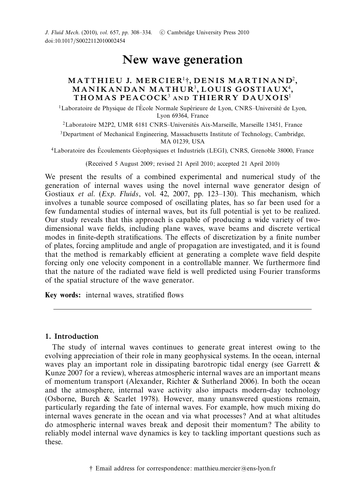J. Fluid Mech. (2010), vol. 657, pp. 308-334. C Cambridge University Press 2010 doi:10.1017/S0022112010002454

# New wave generation

# MATTHIEU J. MERCIER<sup>1</sup>†, DENIS MARTINAND<sup>2</sup>,  $\mathbf M$ ANIKANDAN MATHUR $^3, \mathbf L$ OUIS GOSTIAUX $^4,$ THOMAS PEACOCK<sup>3</sup> AND THIERRY DAUXOIS<sup>1</sup>

 $1$ Laboratoire de Physique de l'École Normale Supérieure de Lyon, CNRS–Université de Lyon, Lyon 69364, France

 $2$ Laboratoire M2P2, UMR 6181 CNRS–Universités Aix-Marseille, Marseille 13451, France

<sup>3</sup>Department of Mechanical Engineering, Massachusetts Institute of Technology, Cambridge, MA 01239, USA

<sup>4</sup>Laboratoire des Écoulements Géophysiques et Industriels (LEGI), CNRS, Grenoble 38000, France

(Received 5 August 2009; revised 21 April 2010; accepted 21 April 2010)

We present the results of a combined experimental and numerical study of the generation of internal waves using the novel internal wave generator design of Gostiaux et al. (Exp. Fluids, vol. 42, 2007, pp. 123–130). This mechanism, which involves a tunable source composed of oscillating plates, has so far been used for a few fundamental studies of internal waves, but its full potential is yet to be realized. Our study reveals that this approach is capable of producing a wide variety of twodimensional wave fields, including plane waves, wave beams and discrete vertical modes in finite-depth stratifications. The effects of discretization by a finite number of plates, forcing amplitude and angle of propagation are investigated, and it is found that the method is remarkably efficient at generating a complete wave field despite forcing only one velocity component in a controllable manner. We furthermore find that the nature of the radiated wave field is well predicted using Fourier transforms of the spatial structure of the wave generator.

Key words: internal waves, stratified flows

# 1. Introduction

The study of internal waves continues to generate great interest owing to the evolving appreciation of their role in many geophysical systems. In the ocean, internal waves play an important role in dissipating barotropic tidal energy (see Garrett & Kunze 2007 for a review), whereas atmospheric internal waves are an important means of momentum transport (Alexander, Richter & Sutherland 2006). In both the ocean and the atmosphere, internal wave activity also impacts modern-day technology (Osborne, Burch & Scarlet 1978). However, many unanswered questions remain, particularly regarding the fate of internal waves. For example, how much mixing do internal waves generate in the ocean and via what processes? And at what altitudes do atmospheric internal waves break and deposit their momentum? The ability to reliably model internal wave dynamics is key to tackling important questions such as these.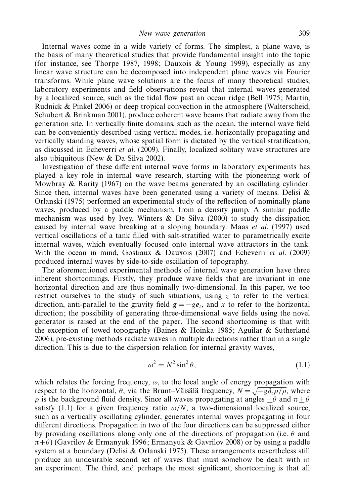Internal waves come in a wide variety of forms. The simplest, a plane wave, is the basis of many theoretical studies that provide fundamental insight into the topic (for instance, see Thorpe 1987, 1998; Dauxois & Young 1999), especially as any linear wave structure can be decomposed into independent plane waves via Fourier transforms. While plane wave solutions are the focus of many theoretical studies, laboratory experiments and field observations reveal that internal waves generated by a localized source, such as the tidal flow past an ocean ridge (Bell 1975; Martin, Rudnick & Pinkel 2006) or deep tropical convection in the atmosphere (Walterscheid, Schubert  $\&$  Brinkman 2001), produce coherent wave beams that radiate away from the generation site. In vertically finite domains, such as the ocean, the internal wave field can be conveniently described using vertical modes, i.e. horizontally propagating and vertically standing waves, whose spatial form is dictated by the vertical stratification, as discussed in Echeverri et al. (2009). Finally, localized solitary wave structures are also ubiquitous (New & Da Silva 2002).

Investigation of these different internal wave forms in laboratory experiments has played a key role in internal wave research, starting with the pioneering work of Mowbray  $\&$  Rarity (1967) on the wave beams generated by an oscillating cylinder. Since then, internal waves have been generated using a variety of means. Delisi  $\&$ Orlanski (1975) performed an experimental study of the reflection of nominally plane waves, produced by a paddle mechanism, from a density jump. A similar paddle mechanism was used by Ivey, Winters  $\&$  De Silva (2000) to study the dissipation caused by internal wave breaking at a sloping boundary. Maas et al. (1997) used vertical oscillations of a tank filled with salt-stratified water to parametrically excite internal waves, which eventually focused onto internal wave attractors in the tank. With the ocean in mind, Gostiaux & Dauxois  $(2007)$  and Echeverri *et al.*  $(2009)$ produced internal waves by side-to-side oscillation of topography.

The aforementioned experimental methods of internal wave generation have three inherent shortcomings. Firstly, they produce wave fields that are invariant in one horizontal direction and are thus nominally two-dimensional. In this paper, we too restrict ourselves to the study of such situations, using  $\zeta$  to refer to the vertical direction, anti-parallel to the gravity field  $g = -ge_z$ , and x to refer to the horizontal direction; the possibility of generating three-dimensional wave fields using the novel generator is raised at the end of the paper. The second shortcoming is that with the exception of towed topography (Baines & Hoinka 1985; Aguilar & Sutherland 2006), pre-existing methods radiate waves in multiple directions rather than in a single direction. This is due to the dispersion relation for internal gravity waves,

$$
\omega^2 = N^2 \sin^2 \theta,\tag{1.1}
$$

which relates the forcing frequency,  $\omega$ , to the local angle of energy propagation with respect to the horizontal,  $\theta$ , via the Brunt–Väisälä frequency,  $N = \sqrt{-g \partial_z \rho / \rho}$ , where  $ρ$  is the background fluid density. Since all waves propagating at angles  $±θ$  and  $π±θ$ satisfy (1.1) for a given frequency ratio  $\omega/N$ , a two-dimensional localized source, such as a vertically oscillating cylinder, generates internal waves propagating in four different directions. Propagation in two of the four directions can be suppressed either by providing oscillations along only one of the directions of propagation (i.e.  $\theta$  and  $(\pi+\theta)$  (Gavrilov & Ermanyuk 1996; Ermanyuk & Gavrilov 2008) or by using a paddle system at a boundary (Delisi & Orlanski 1975). These arrangements nevertheless still produce an undesirable second set of waves that must somehow be dealt with in an experiment. The third, and perhaps the most significant, shortcoming is that all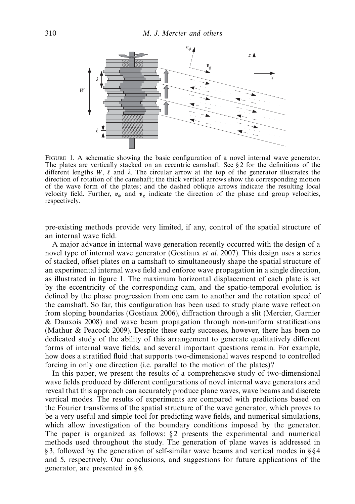

FIGURE 1. A schematic showing the basic configuration of a novel internal wave generator. The plates are vertically stacked on an eccentric camshaft. See  $\S$  2 for the definitions of the different lengths W,  $\ell$  and  $\lambda$ . The circular arrow at the top of the generator illustrates the direction of rotation of the camshaft; the thick vertical arrows show the corresponding motion of the wave form of the plates; and the dashed oblique arrows indicate the resulting local velocity field. Further,  $v_{\phi}$  and  $v_{g}$  indicate the direction of the phase and group velocities, respectively.

pre-existing methods provide very limited, if any, control of the spatial structure of an internal wave field.

A major advance in internal wave generation recently occurred with the design of a novel type of internal wave generator (Gostiaux *et al.* 2007). This design uses a series of stacked, offset plates on a camshaft to simultaneously shape the spatial structure of an experimental internal wave field and enforce wave propagation in a single direction, as illustrated in figure 1. The maximum horizontal displacement of each plate is set by the eccentricity of the corresponding cam, and the spatio-temporal evolution is defined by the phase progression from one cam to another and the rotation speed of the camshaft. So far, this configuration has been used to study plane wave reflection from sloping boundaries (Gostiaux 2006), diffraction through a slit (Mercier, Garnier & Dauxois 2008) and wave beam propagation through non-uniform stratifications (Mathur & Peacock 2009). Despite these early successes, however, there has been no dedicated study of the ability of this arrangement to generate qualitatively different forms of internal wave fields, and several important questions remain. For example, how does a stratified fluid that supports two-dimensional waves respond to controlled forcing in only one direction (i.e. parallel to the motion of the plates)?

In this paper, we present the results of a comprehensive study of two-dimensional wave fields produced by different configurations of novel internal wave generators and reveal that this approach can accurately produce plane waves, wave beams and discrete vertical modes. The results of experiments are compared with predictions based on the Fourier transforms of the spatial structure of the wave generator, which proves to be a very useful and simple tool for predicting wave fields, and numerical simulations, which allow investigation of the boundary conditions imposed by the generator. The paper is organized as follows:  $\S$ 2 presents the experimental and numerical methods used throughout the study. The generation of plane waves is addressed in § 3, followed by the generation of self-similar wave beams and vertical modes in § § 4 and 5, respectively. Our conclusions, and suggestions for future applications of the generator, are presented in § 6.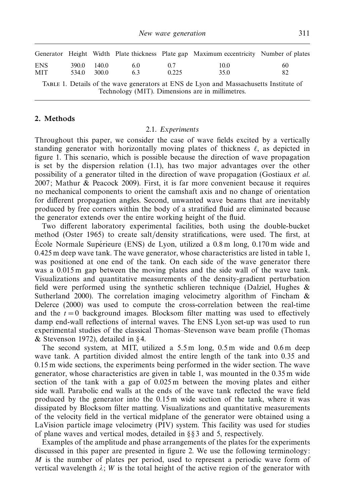|                    |                |                |           |              | Generator Height Width Plate thickness Plate gap Maximum eccentricity Number of plates |          |
|--------------------|----------------|----------------|-----------|--------------|----------------------------------------------------------------------------------------|----------|
| ENS.<br><b>MIT</b> | 390.0<br>534.0 | 140.0<br>300.0 | 6.0<br>63 | 0.7<br>0.225 | 10.0<br>35.0                                                                           | 60<br>82 |
|                    |                |                |           |              | TABLE 1. Details of the wave generators at ENS de Lyon and Massachusetts Institute of  |          |

Technology (MIT). Dimensions are in millimetres.

## 2. Methods

#### 2.1. Experiments

Throughout this paper, we consider the case of wave fields excited by a vertically standing generator with horizontally moving plates of thickness  $\ell$ , as depicted in figure 1. This scenario, which is possible because the direction of wave propagation is set by the dispersion relation (1.1), has two major advantages over the other possibility of a generator tilted in the direction of wave propagation (Gostiaux et al. 2007; Mathur & Peacock 2009). First, it is far more convenient because it requires no mechanical components to orient the camshaft axis and no change of orientation for different propagation angles. Second, unwanted wave beams that are inevitably produced by free corners within the body of a stratified fluid are eliminated because the generator extends over the entire working height of the fluid.

Two different laboratory experimental facilities, both using the double-bucket method (Oster 1965) to create salt/density stratifications, were used. The first, at Ecole Normale Supérieure (ENS) de Lyon, utilized a  $0.8 \text{ m}$  long,  $0.170 \text{ m}$  wide and 0.425 m deep wave tank. The wave generator, whose characteristics are listed in table 1, was positioned at one end of the tank. On each side of the wave generator there was a 0.015 m gap between the moving plates and the side wall of the wave tank. Visualizations and quantitative measurements of the density-gradient perturbation field were performed using the synthetic schlieren technique (Dalziel, Hughes & Sutherland 2000). The correlation imaging velocimetry algorithm of Fincham & Delerce (2000) was used to compute the cross-correlation between the real-time and the  $t = 0$  background images. Blocksom filter matting was used to effectively damp end-wall reflections of internal waves. The ENS Lyon set-up was used to run experimental studies of the classical Thomas–Stevenson wave beam profile (Thomas & Stevenson 1972), detailed in § 4.

The second system, at MIT, utilized a 5.5 m long, 0.5 m wide and 0.6 m deep wave tank. A partition divided almost the entire length of the tank into 0.35 and 0.15 m wide sections, the experiments being performed in the wider section. The wave generator, whose characteristics are given in table 1, was mounted in the 0.35 m wide section of the tank with a gap of 0.025 m between the moving plates and either side wall. Parabolic end walls at the ends of the wave tank reflected the wave field produced by the generator into the 0.15 m wide section of the tank, where it was dissipated by Blocksom filter matting. Visualizations and quantitative measurements of the velocity field in the vertical midplane of the generator were obtained using a LaVision particle image velocimetry (PIV) system. This facility was used for studies of plane waves and vertical modes, detailed in § § 3 and 5, respectively.

Examples of the amplitude and phase arrangements of the plates for the experiments discussed in this paper are presented in figure 2. We use the following terminology: M is the number of plates per period, used to represent a periodic wave form of vertical wavelength  $\lambda$ ; W is the total height of the active region of the generator with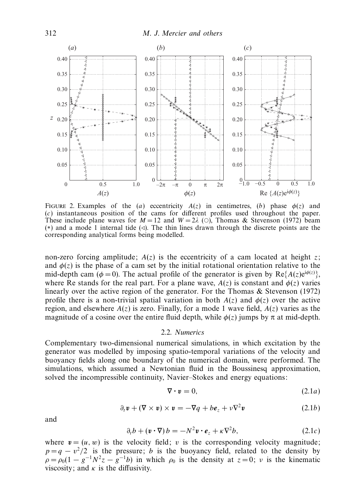

FIGURE 2. Examples of the (a) eccentricity  $A(z)$  in centimetres, (b) phase  $\phi(z)$  and (c) instantaneous position of the cams for different profiles used throughout the paper. These include plane waves for  $M = 12$  and  $W = 2\lambda$  (O), Thomas & Stevenson (1972) beam (∗) and a mode 1 internal tide (⊳). The thin lines drawn through the discrete points are the corresponding analytical forms being modelled.

non-zero forcing amplitude;  $A(z)$  is the eccentricity of a cam located at height z; and  $\phi(z)$  is the phase of a cam set by the initial rotational orientation relative to the mid-depth cam ( $\phi = 0$ ). The actual profile of the generator is given by Re{ $A(z)e^{i\phi(z)}$ }, where Re stands for the real part. For a plane wave,  $A(z)$  is constant and  $\phi(z)$  varies linearly over the active region of the generator. For the Thomas & Stevenson (1972) profile there is a non-trivial spatial variation in both  $A(z)$  and  $\phi(z)$  over the active region, and elsewhere  $A(z)$  is zero. Finally, for a mode 1 wave field,  $A(z)$  varies as the magnitude of a cosine over the entire fluid depth, while  $\phi(z)$  jumps by  $\pi$  at mid-depth.

#### 2.2. Numerics

Complementary two-dimensional numerical simulations, in which excitation by the generator was modelled by imposing spatio-temporal variations of the velocity and buoyancy fields along one boundary of the numerical domain, were performed. The simulations, which assumed a Newtonian fluid in the Boussinesq approximation, solved the incompressible continuity, Navier–Stokes and energy equations:

$$
\nabla \cdot \mathbf{v} = 0,\tag{2.1a}
$$

$$
\partial_t \mathbf{v} + (\nabla \times \mathbf{v}) \times \mathbf{v} = -\nabla q + b \mathbf{e}_z + v \nabla^2 \mathbf{v}
$$
 (2.1b)

and

$$
\partial_t b + (\mathbf{v} \cdot \nabla) b = -N^2 \mathbf{v} \cdot \mathbf{e}_z + \kappa \nabla^2 b, \qquad (2.1c)
$$

where  $v = (u, w)$  is the velocity field; v is the corresponding velocity magnitude;  $p = q - v^2/2$  is the pressure; b is the buoyancy field, related to the density by  $\rho = \rho_0 (1 - g^{-1} N^2 z - g^{-1} b)$  in which  $\rho_0$  is the density at  $z = 0$ ;  $\nu$  is the kinematic viscosity; and  $\kappa$  is the diffusivity.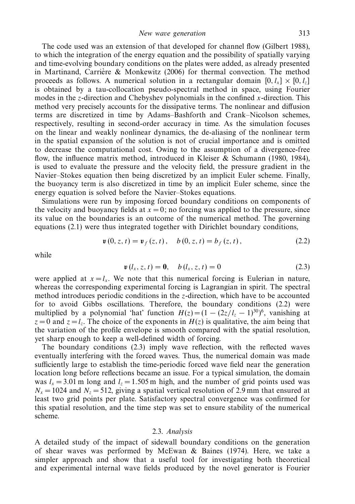New wave generation 313

The code used was an extension of that developed for channel flow (Gilbert 1988), to which the integration of the energy equation and the possibility of spatially varying and time-evolving boundary conditions on the plates were added, as already presented in Martinand, Carrière & Monkewitz  $(2006)$  for thermal convection. The method proceeds as follows. A numerical solution in a rectangular domain  $[0, l_x] \times [0, l_z]$ is obtained by a tau-collocation pseudo-spectral method in space, using Fourier modes in the z-direction and Chebyshev polynomials in the confined x-direction. This method very precisely accounts for the dissipative terms. The nonlinear and diffusion terms are discretized in time by Adams–Bashforth and Crank–Nicolson schemes, respectively, resulting in second-order accuracy in time. As the simulation focuses on the linear and weakly nonlinear dynamics, the de-aliasing of the nonlinear term in the spatial expansion of the solution is not of crucial importance and is omitted to decrease the computational cost. Owing to the assumption of a divergence-free flow, the influence matrix method, introduced in Kleiser & Schumann (1980, 1984), is used to evaluate the pressure and the velocity field, the pressure gradient in the Navier–Stokes equation then being discretized by an implicit Euler scheme. Finally, the buoyancy term is also discretized in time by an implicit Euler scheme, since the energy equation is solved before the Navier–Stokes equations.

Simulations were run by imposing forced boundary conditions on components of the velocity and buoyancy fields at  $x = 0$ ; no forcing was applied to the pressure, since its value on the boundaries is an outcome of the numerical method. The governing equations (2.1) were thus integrated together with Dirichlet boundary conditions,

$$
\mathbf{v}(0, z, t) = \mathbf{v}_f(z, t), \quad b(0, z, t) = b_f(z, t), \tag{2.2}
$$

while

$$
\mathbf{v}\left(l_{x}, z, t\right) = \mathbf{0}, \quad b\left(l_{x}, z, t\right) = 0 \tag{2.3}
$$

were applied at  $x = l_x$ . We note that this numerical forcing is Eulerian in nature, whereas the corresponding experimental forcing is Lagrangian in spirit. The spectral method introduces periodic conditions in the z-direction, which have to be accounted for to avoid Gibbs oscillations. Therefore, the boundary conditions (2.2) were multiplied by a polynomial 'hat' function  $H(z) = (1 - (2z/l_z - 1)^{30})^6$ , vanishing at  $z = 0$  and  $z = l_z$ . The choice of the exponents in  $H(z)$  is qualitative, the aim being that the variation of the profile envelope is smooth compared with the spatial resolution, yet sharp enough to keep a well-defined width of forcing.

The boundary conditions (2.3) imply wave reflection, with the reflected waves eventually interfering with the forced waves. Thus, the numerical domain was made sufficiently large to establish the time-periodic forced wave field near the generation location long before reflections became an issue. For a typical simulation, the domain was  $l_x = 3.01$  m long and  $l_z = 1.505$  m high, and the number of grid points used was  $N_x = 1024$  and  $N_z = 512$ , giving a spatial vertical resolution of 2.9 mm that ensured at least two grid points per plate. Satisfactory spectral convergence was confirmed for this spatial resolution, and the time step was set to ensure stability of the numerical scheme.

#### 2.3. Analysis

A detailed study of the impact of sidewall boundary conditions on the generation of shear waves was performed by McEwan & Baines (1974). Here, we take a simpler approach and show that a useful tool for investigating both theoretical and experimental internal wave fields produced by the novel generator is Fourier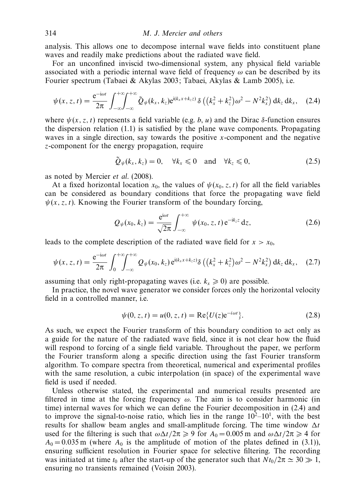analysis. This allows one to decompose internal wave fields into constituent plane waves and readily make predictions about the radiated wave field.

For an unconfined inviscid two-dimensional system, any physical field variable associated with a periodic internal wave field of frequency  $\omega$  can be described by its Fourier spectrum (Tabaei & Akylas 2003; Tabaei, Akylas & Lamb 2005), i.e.

$$
\psi(x,z,t)=\frac{e^{-i\omega t}}{2\pi}\int_{-\infty}^{+\infty}\int_{-\infty}^{+\infty}\tilde{Q}_{\psi}(k_{x},k_{z})e^{i(k_{x}x+k_{z}z)}\,\delta\left((k_{x}^{2}+k_{z}^{2})\omega^{2}-N^{2}k_{x}^{2}\right)dk_{z}\,dk_{x},\quad(2.4)
$$

where  $\psi(x, z, t)$  represents a field variable (e.g. b, u) and the Dirac δ-function ensures the dispersion relation (1.1) is satisfied by the plane wave components. Propagating waves in a single direction, say towards the positive  $x$ -component and the negative z-component for the energy propagation, require

$$
\tilde{Q}_{\psi}(k_x, k_z) = 0, \quad \forall k_x \leq 0 \quad \text{and} \quad \forall k_z \leq 0,
$$
\n(2.5)

as noted by Mercier et al. (2008).

At a fixed horizontal location  $x_0$ , the values of  $\psi(x_0, z, t)$  for all the field variables can be considered as boundary conditions that force the propagating wave field  $\psi(x, z, t)$ . Knowing the Fourier transform of the boundary forcing,

$$
Q_{\psi}(x_0, k_z) = \frac{e^{i\omega t}}{\sqrt{2\pi}} \int_{-\infty}^{+\infty} \psi(x_0, z, t) e^{-ik_z z} dz,
$$
 (2.6)

leads to the complete description of the radiated wave field for  $x > x_0$ ,

$$
\psi(x, z, t) = \frac{e^{-i\omega t}}{2\pi} \int_0^{+\infty} \int_{-\infty}^{+\infty} Q_{\psi}(x_0, k_z) e^{i(k_x x + k_z z)} \delta\left( \left(k_x^2 + k_z^2\right) \omega^2 - N^2 k_x^2 \right) dk_z dk_x, \quad (2.7)
$$

assuming that only right-propagating waves (i.e.  $k_x \geqslant 0$ ) are possible.

In practice, the novel wave generator we consider forces only the horizontal velocity field in a controlled manner, i.e.

$$
\psi(0, z, t) = u(0, z, t) = \text{Re}\{U(z)e^{-i\omega t}\}.
$$
\n(2.8)

As such, we expect the Fourier transform of this boundary condition to act only as a guide for the nature of the radiated wave field, since it is not clear how the fluid will respond to forcing of a single field variable. Throughout the paper, we perform the Fourier transform along a specific direction using the fast Fourier transform algorithm. To compare spectra from theoretical, numerical and experimental profiles with the same resolution, a cubic interpolation (in space) of the experimental wave field is used if needed.

Unless otherwise stated, the experimental and numerical results presented are filtered in time at the forcing frequency  $\omega$ . The aim is to consider harmonic (in time) internal waves for which we can define the Fourier decomposition in (2.4) and to improve the signal-to-noise ratio, which lies in the range  $10^2-10^1$ , with the best results for shallow beam angles and small-amplitude forcing. The time window  $\Delta t$ used for the filtering is such that  $\omega \Delta t / 2\pi \geq 9$  for  $A_0 = 0.005$  m and  $\omega \Delta t / 2\pi \geq 4$  for  $A_0 = 0.035$  m (where  $A_0$  is the amplitude of motion of the plates defined in (3.1)), ensuring sufficient resolution in Fourier space for selective filtering. The recording was initiated at time  $t_0$  after the start-up of the generator such that  $Nt_0/2\pi \simeq 30 \gg 1$ , ensuring no transients remained (Voisin 2003).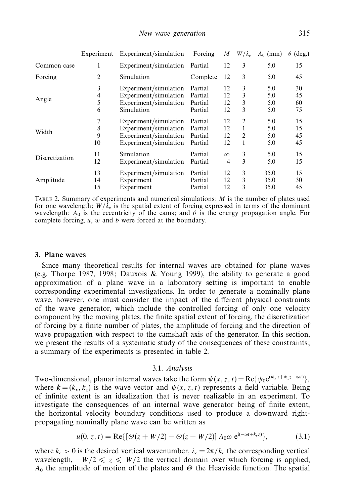| New wave generation | 315 |
|---------------------|-----|
|---------------------|-----|

|                | Experiment        | Experiment/simulation                                                                            | Forcing                                  | M                    | $W/\lambda_e$    | $A_0$ (mm)               | $(\text{deg.})$<br>$\theta$ |
|----------------|-------------------|--------------------------------------------------------------------------------------------------|------------------------------------------|----------------------|------------------|--------------------------|-----------------------------|
| Common case    |                   | Experiment/simulation                                                                            | Partial                                  | 12                   | 3                | 5.0                      | 15                          |
| Forcing        | 2                 | Simulation                                                                                       | Complete                                 | 12                   | 3                | 5.0                      | 45                          |
| Angle          | 3<br>4<br>5<br>6  | Experiment/simulation<br>Experiment/simulation<br>Experiment/simulation<br>Simulation            | Partial<br>Partial<br>Partial<br>Partial | 12<br>12<br>12<br>12 | 3<br>3<br>3<br>3 | 5.0<br>5.0<br>5.0<br>5.0 | 30<br>45<br>60<br>75        |
| Width          | 7<br>8<br>9<br>10 | Experiment/simulation<br>Experiment/simulation<br>Experiment/simulation<br>Experiment/simulation | Partial<br>Partial<br>Partial<br>Partial | 12<br>12<br>12<br>12 | 2<br>1<br>2      | 5.0<br>5.0<br>5.0<br>5.0 | 15<br>15<br>45<br>45        |
| Discretization | 11<br>12          | Simulation<br>Experiment/simulation                                                              | Partial<br>Partial                       | $\infty$<br>4        | 3<br>3           | 5.0<br>5.0               | 15<br>15                    |
| Amplitude      | 13<br>14<br>15    | Experiment/simulation<br>Experiment<br>Experiment                                                | Partial<br>Partial<br>Partial            | 12<br>12<br>12       | 3<br>3<br>3      | 35.0<br>35.0<br>35.0     | 15<br>30<br>45              |

TABLE 2. Summary of experiments and numerical simulations:  $M$  is the number of plates used for one wavelength;  $W/\lambda_e$  is the spatial extent of forcing expressed in terms of the dominant wavelength;  $A_0$  is the eccentricity of the cams; and  $\theta$  is the energy propagation angle. For complete forcing,  $u$ ,  $w$  and  $b$  were forced at the boundary.

#### 3. Plane waves

Since many theoretical results for internal waves are obtained for plane waves (e.g. Thorpe 1987, 1998; Dauxois & Young 1999), the ability to generate a good approximation of a plane wave in a laboratory setting is important to enable corresponding experimental investigations. In order to generate a nominally plane wave, however, one must consider the impact of the different physical constraints of the wave generator, which include the controlled forcing of only one velocity component by the moving plates, the finite spatial extent of forcing, the discretization of forcing by a finite number of plates, the amplitude of forcing and the direction of wave propagation with respect to the camshaft axis of the generator. In this section, we present the results of a systematic study of the consequences of these constraints; a summary of the experiments is presented in table 2.

#### 3.1. Analysis

Two-dimensional, planar internal waves take the form  $\psi(x, z, t) = \text{Re}\{\psi_0 e^{(ik_x x + ik_z z - i\omega t)}\},$ where  $\mathbf{k} = (k_x, k_z)$  is the wave vector and  $\psi(x, z, t)$  represents a field variable. Being of infinite extent is an idealization that is never realizable in an experiment. To investigate the consequences of an internal wave generator being of finite extent, the horizontal velocity boundary conditions used to produce a downward rightpropagating nominally plane wave can be written as

$$
u(0, z, t) = \text{Re}\{[\Theta(z + W/2) - \Theta(z - W/2)] A_0 \omega e^{i(-\omega t + k_c z)}\},\tag{3.1}
$$

where  $k_e > 0$  is the desired vertical wavenumber,  $\lambda_e = 2\pi/k_e$  the corresponding vertical wavelength,  $-W/2 \le z \le W/2$  the vertical domain over which forcing is applied,  $A_0$  the amplitude of motion of the plates and  $\Theta$  the Heaviside function. The spatial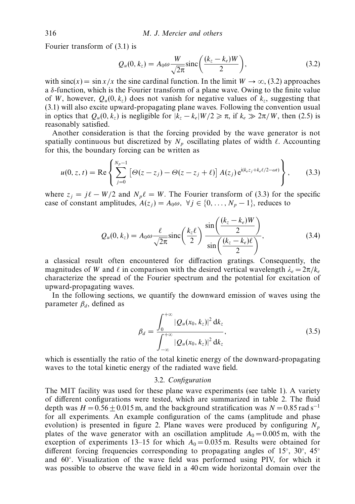Fourier transform of (3.1) is

$$
Q_u(0, k_z) = A_0 \omega \frac{W}{\sqrt{2\pi}} \text{sinc}\left(\frac{(k_z - k_e)W}{2}\right),\tag{3.2}
$$

with  $\text{sinc}(x) = \sin x/x$  the sine cardinal function. In the limit  $W \to \infty$ , (3.2) approaches a δ-function, which is the Fourier transform of a plane wave. Owing to the finite value of W, however,  $Q_u(0, k_z)$  does not vanish for negative values of  $k_z$ , suggesting that (3.1) will also excite upward-propagating plane waves. Following the convention usual in optics that  $Q_u(0, k_z)$  is negligible for  $|k_z - k_e| W/2 \ge \pi$ , if  $k_e \gg 2\pi/W$ , then (2.5) is reasonably satisfied.

Another consideration is that the forcing provided by the wave generator is not spatially continuous but discretized by  $N_p$  oscillating plates of width  $\ell$ . Accounting for this, the boundary forcing can be written as

$$
u(0, z, t) = \text{Re}\left\{\sum_{j=0}^{N_p-1} \left[\Theta(z-z_j) - \Theta(z-z_j+t)\right] A(z_j) e^{i(k_e z_j + k_e \ell/2 - \omega t)}\right\},\qquad(3.3)
$$

where  $z_j = j\ell - W/2$  and  $N_p \ell = W$ . The Fourier transform of (3.3) for the specific case of constant amplitudes,  $A(z_i) = A_0 \omega$ ,  $\forall j \in \{0, ..., N_p - 1\}$ , reduces to

$$
Q_u(0, k_z) = A_0 \omega \frac{\ell}{\sqrt{2\pi}} \operatorname{sinc}\left(\frac{k_z \ell}{2}\right) \frac{\sin\left(\frac{(k_z - k_e)W}{2}\right)}{\sin\left(\frac{(k_z - k_e)\ell}{2}\right)},\tag{3.4}
$$

a classical result often encountered for diffraction gratings. Consequently, the magnitudes of W and  $\ell$  in comparison with the desired vertical wavelength  $\lambda_e = 2\pi/k_e$ characterize the spread of the Fourier spectrum and the potential for excitation of upward-propagating waves.

In the following sections, we quantify the downward emission of waves using the parameter  $\beta_d$ , defined as

$$
\beta_d = \frac{\int_0^{+\infty} |\mathcal{Q}_u(x_0, k_z)|^2 \, \mathrm{d}k_z}{\int_{-\infty}^{+\infty} |\mathcal{Q}_u(x_0, k_z)|^2 \, \mathrm{d}k_z},\tag{3.5}
$$

which is essentially the ratio of the total kinetic energy of the downward-propagating waves to the total kinetic energy of the radiated wave field.

# 3.2. Configuration

The MIT facility was used for these plane wave experiments (see table 1). A variety of different configurations were tested, which are summarized in table 2. The fluid depth was  $H = 0.56 + 0.015$  m, and the background stratification was  $N = 0.85$  rad s<sup>-1</sup> for all experiments. An example configuration of the cams (amplitude and phase evolution) is presented in figure 2. Plane waves were produced by configuring  $N_p$ plates of the wave generator with an oscillation amplitude  $A_0 = 0.005$  m, with the exception of experiments 13–15 for which  $A_0 = 0.035$  m. Results were obtained for different forcing frequencies corresponding to propagating angles of 15<sup>°</sup>, 30<sup>°</sup>, 45<sup>°</sup> and 60◦ . Visualization of the wave field was performed using PIV, for which it was possible to observe the wave field in a 40 cm wide horizontal domain over the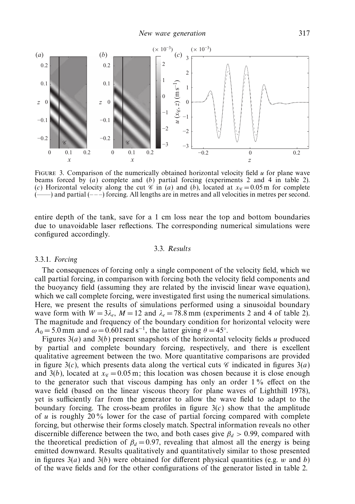

FIGURE 3. Comparison of the numerically obtained horizontal velocity field  $u$  for plane wave beams forced by  $(a)$  complete and  $(b)$  partial forcing (experiments 2 and 4 in table 2). (c) Horizontal velocity along the cut  $\mathscr{C}$  in (a) and (b), located at  $x_{\mathscr{C}} = 0.05$  m for complete (--) and partial (---) forcing. All lengths are in metres and all velocities in metres per second. (——) and partial (– – –) forcing. All lengths are in metres and all velocities in metres per second.

entire depth of the tank, save for a 1 cm loss near the top and bottom boundaries due to unavoidable laser reflections. The corresponding numerical simulations were configured accordingly.

## 3.3. Results

## 3.3.1. Forcing

The consequences of forcing only a single component of the velocity field, which we call partial forcing, in comparison with forcing both the velocity field components and the buoyancy field (assuming they are related by the inviscid linear wave equation), which we call complete forcing, were investigated first using the numerical simulations. Here, we present the results of simulations performed using a sinusoidal boundary wave form with  $W = 3\lambda_e$ ,  $M = 12$  and  $\lambda_e = 78.8$  mm (experiments 2 and 4 of table 2). The magnitude and frequency of the boundary condition for horizontal velocity were  $A_0 = 5.0$  mm and  $\omega = 0.601$  rad s<sup>-1</sup>, the latter giving  $\theta = 45^\circ$ .

Figures  $3(a)$  and  $3(b)$  present snapshots of the horizontal velocity fields u produced by partial and complete boundary forcing, respectively, and there is excellent qualitative agreement between the two. More quantitative comparisons are provided in figure  $3(c)$ , which presents data along the vertical cuts  $\mathscr C$  indicated in figures  $3(a)$ and 3(b), located at  $x_{\infty} = 0.05$  m; this location was chosen because it is close enough to the generator such that viscous damping has only an order  $1\%$  effect on the wave field (based on the linear viscous theory for plane waves of Lighthill 1978), yet is sufficiently far from the generator to allow the wave field to adapt to the boundary forcing. The cross-beam profiles in figure  $3(c)$  show that the amplitude of u is roughly 20 % lower for the case of partial forcing compared with complete forcing, but otherwise their forms closely match. Spectral information reveals no other discernible difference between the two, and both cases give  $\beta_d > 0.99$ , compared with the theoretical prediction of  $\beta_d = 0.97$ , revealing that almost all the energy is being emitted downward. Results qualitatively and quantitatively similar to those presented in figures  $3(a)$  and  $3(b)$  were obtained for different physical quantities (e.g. w and b) of the wave fields and for the other configurations of the generator listed in table 2.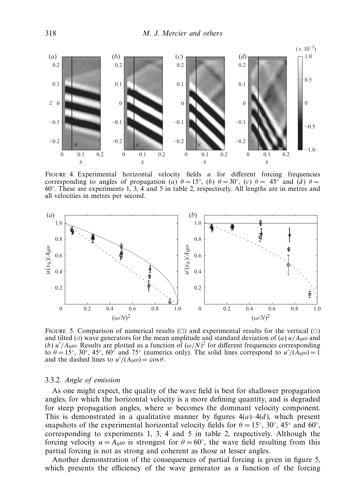

FIGURE 4. Experimental horizontal velocity fields  $u$  for different forcing frequencies corresponding to angles of propagation (a)  $\theta = 15^\circ$ , (b)  $\theta = 30^\circ$ , (c)  $\theta = 45^\circ$  and (d)  $\theta =$ 60◦ . These are experiments 1, 3, 4 and 5 in table 2, respectively. All lengths are in metres and all velocities in metres per second.



FIGURE 5. Comparison of numerical results  $(\square)$  and experimental results for the vertical  $(\bigcirc)$ and tilted ( $\triangleleft$ ) wave generators for the mean amplitude and standard deviation of (a) u/A<sub>0</sub>ω and (b)  $u'/A_0\omega$ . Results are plotted as a function of  $(\omega/N)^2$  for different frequencies corresponding to  $\theta = 15^{\circ}$ , 30°, 45°, 60° and 75° (numerics only). The solid lines correspond to  $u'/(A_0\omega) = 1$ and the dashed lines to  $u'/(A_0\omega) = \cos\theta$ .

## 3.3.2. Angle of emission

As one might expect, the quality of the wave field is best for shallower propagation angles, for which the horizontal velocity is a more defining quantity, and is degraded for steep propagation angles, where w becomes the dominant velocity component. This is demonstrated in a qualitative manner by figures  $4(a) - 4(d)$ , which present snapshots of the experimental horizontal velocity fields for  $\theta = 15°$ ,  $30°$ ,  $45°$  and  $60°$ , corresponding to experiments 1, 3, 4 and 5 in table 2, respectively. Although the forcing velocity  $u = A_0 \omega$  is strongest for  $\theta = 60^{\circ}$ , the wave field resulting from this partial forcing is not as strong and coherent as those at lesser angles.

Another demonstration of the consequences of partial forcing is given in figure 5, which presents the efficiency of the wave generator as a function of the forcing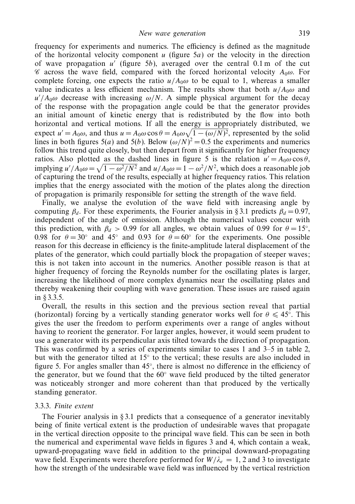frequency for experiments and numerics. The efficiency is defined as the magnitude of the horizontal velocity component u (figure  $5a$ ) or the velocity in the direction of wave propagation  $u'$  (figure 5b), averaged over the central 0.1 m of the cut  $\mathscr C$  across the wave field, compared with the forced horizontal velocity  $A_0\omega$ . For complete forcing, one expects the ratio  $u/A_0\omega$  to be equal to 1, whereas a smaller value indicates a less efficient mechanism. The results show that both  $u/A_0\omega$  and  $u'/A_0\omega$  decrease with increasing  $\omega/N$ . A simple physical argument for the decay of the response with the propagation angle could be that the generator provides an initial amount of kinetic energy that is redistributed by the flow into both horizontal and vertical motions. If all the energy is appropriately distributed, we expect  $u' = A_0 \omega$ , and thus  $u = A_0 \omega \cos \theta = A_0 \omega \sqrt{1 - (\omega/N)^2}$ , represented by the solid lines in both figures 5(*a*) and 5(*b*). Below  $(\omega/N)^2 = 0.5$  the experiments and numerics follow this trend quite closely, but then depart from it significantly for higher frequency ratios. Also plotted as the dashed lines in figure 5 is the relation  $u' = A_0 \omega \cos \theta$ , implying  $u'/A_0 \omega = \sqrt{1 - \omega^2/N^2}$  and  $u/A_0 \omega = 1 - \omega^2/N^2$ , which does a reasonable job of capturing the trend of the results, especially at higher frequency ratios. This relation implies that the energy associated with the motion of the plates along the direction of propagation is primarily responsible for setting the strength of the wave field.

Finally, we analyse the evolution of the wave field with increasing angle by computing  $\beta_d$ . For these experiments, the Fourier analysis in § 3.1 predicts  $\beta_d = 0.97$ , independent of the angle of emission. Although the numerical values concur with this prediction, with  $\beta_d > 0.99$  for all angles, we obtain values of 0.99 for  $\theta = 15^\circ$ , 0.98 for  $\theta = 30^\circ$  and 45° and 0.93 for  $\theta = 60^\circ$  for the experiments. One possible reason for this decrease in efficiency is the finite-amplitude lateral displacement of the plates of the generator, which could partially block the propagation of steeper waves; this is not taken into account in the numerics. Another possible reason is that at higher frequency of forcing the Reynolds number for the oscillating plates is larger, increasing the likelihood of more complex dynamics near the oscillating plates and thereby weakening their coupling with wave generation. These issues are raised again in § 3.3.5.

Overall, the results in this section and the previous section reveal that partial (horizontal) forcing by a vertically standing generator works well for  $\theta \leq 45^{\circ}$ . This gives the user the freedom to perform experiments over a range of angles without having to reorient the generator. For larger angles, however, it would seem prudent to use a generator with its perpendicular axis tilted towards the direction of propagation. This was confirmed by a series of experiments similar to cases 1 and 3–5 in table 2, but with the generator tilted at  $15°$  to the vertical; these results are also included in figure 5. For angles smaller than  $45^\circ$ , there is almost no difference in the efficiency of the generator, but we found that the 60◦ wave field produced by the tilted generator was noticeably stronger and more coherent than that produced by the vertically standing generator.

#### 3.3.3. Finite extent

The Fourier analysis in § 3.1 predicts that a consequence of a generator inevitably being of finite vertical extent is the production of undesirable waves that propagate in the vertical direction opposite to the principal wave field. This can be seen in both the numerical and experimental wave fields in figures 3 and 4, which contain a weak, upward-propagating wave field in addition to the principal downward-propagating wave field. Experiments were therefore performed for  $W/\lambda_e = 1$ , 2 and 3 to investigate how the strength of the undesirable wave field was influenced by the vertical restriction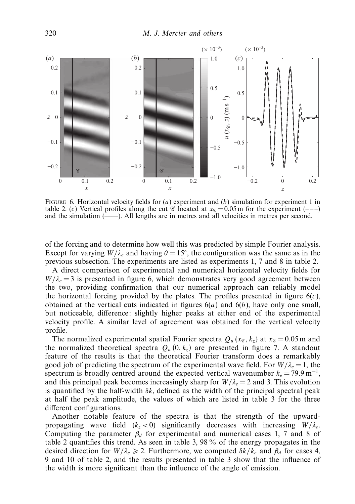

FIGURE 6. Horizontal velocity fields for  $(a)$  experiment and  $(b)$  simulation for experiment 1 in table 2. (c) Vertical profiles along the cut  $\mathscr C$  located at  $x_{\mathscr C} = 0.05$  m for the experiment (---) and the simulation (——). All lengths are in metres and all velocities in metres per second.

of the forcing and to determine how well this was predicted by simple Fourier analysis. Except for varying  $W/\lambda_e$  and having  $\theta = 15^\circ$ , the configuration was the same as in the previous subsection. The experiments are listed as experiments 1, 7 and 8 in table 2.

A direct comparison of experimental and numerical horizontal velocity fields for  $W/\lambda_e = 3$  is presented in figure 6, which demonstrates very good agreement between the two, providing confirmation that our numerical approach can reliably model the horizontal forcing provided by the plates. The profiles presented in figure  $6(c)$ , obtained at the vertical cuts indicated in figures  $6(a)$  and  $6(b)$ , have only one small, but noticeable, difference: slightly higher peaks at either end of the experimental velocity profile. A similar level of agreement was obtained for the vertical velocity profile.

The normalized experimental spatial Fourier spectra  $Q_u$  ( $x_{\mathscr{C}}$ ,  $k_z$ ) at  $x_{\mathscr{C}} = 0.05$  m and the normalized theoretical spectra  $Q_u(0, k_z)$  are presented in figure 7. A standout feature of the results is that the theoretical Fourier transform does a remarkably good job of predicting the spectrum of the experimental wave field. For  $W/\lambda_e = 1$ , the spectrum is broadly centred around the expected vertical wavenumber  $k_e = 79.9 \,\text{m}^{-1}$ , and this principal peak becomes increasingly sharp for  $W/\lambda_e = 2$  and 3. This evolution is quantified by the half-width  $\delta k$ , defined as the width of the principal spectral peak at half the peak amplitude, the values of which are listed in table 3 for the three different configurations.

Another notable feature of the spectra is that the strength of the upwardpropagating wave field  $(k_z < 0)$  significantly decreases with increasing  $W/\lambda_e$ . Computing the parameter  $\beta_d$  for experimental and numerical cases 1, 7 and 8 of table 2 quantifies this trend. As seen in table 3, 98 % of the energy propagates in the desired direction for  $W/\lambda_e \ge 2$ . Furthermore, we computed  $\delta k/k_e$  and  $\beta_d$  for cases 4, 9 and 10 of table 2, and the results presented in table 3 show that the influence of the width is more significant than the influence of the angle of emission.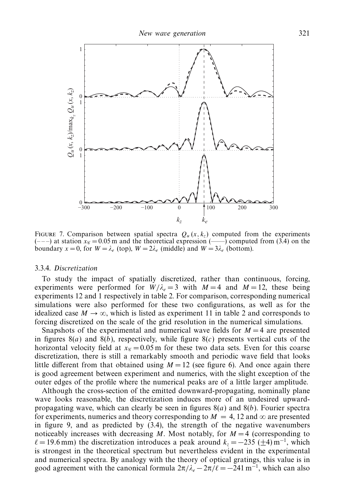

FIGURE 7. Comparison between spatial spectra  $Q_u(x, k_z)$  computed from the experiments  $(--)$  at station  $x_{\mathscr{C}} = 0.05$  m and the theoretical expression  $(--)$  computed from (3.4) on the boundary  $x = 0$ , for  $W = \lambda_e$  (top),  $W = 2\lambda_e$  (middle) and  $W = 3\lambda_e$  (bottom).

#### 3.3.4. Discretization

To study the impact of spatially discretized, rather than continuous, forcing, experiments were performed for  $W/\lambda_e = 3$  with  $M = 4$  and  $M = 12$ , these being experiments 12 and 1 respectively in table 2. For comparison, corresponding numerical simulations were also performed for these two configurations, as well as for the idealized case  $M \to \infty$ , which is listed as experiment 11 in table 2 and corresponds to forcing discretized on the scale of the grid resolution in the numerical simulations.

Snapshots of the experimental and numerical wave fields for  $M = 4$  are presented in figures  $8(a)$  and  $8(b)$ , respectively, while figure  $8(c)$  presents vertical cuts of the horizontal velocity field at  $x_{\mathscr{C}} = 0.05$  m for these two data sets. Even for this coarse discretization, there is still a remarkably smooth and periodic wave field that looks little different from that obtained using  $M = 12$  (see figure 6). And once again there is good agreement between experiment and numerics, with the slight exception of the outer edges of the profile where the numerical peaks are of a little larger amplitude.

Although the cross-section of the emitted downward-propagating, nominally plane wave looks reasonable, the discretization induces more of an undesired upwardpropagating wave, which can clearly be seen in figures  $8(a)$  and  $8(b)$ . Fourier spectra for experiments, numerics and theory corresponding to  $M = 4$ , 12 and  $\infty$  are presented in figure 9, and as predicted by (3.4), the strength of the negative wavenumbers noticeably increases with decreasing M. Most notably, for  $M = 4$  (corresponding to  $\ell = 19.6$  mm) the discretization introduces a peak around  $k_z = -235 \ (\pm 4) \text{ m}^{-1}$ , which is strongest in the theoretical spectrum but nevertheless evident in the experimental and numerical spectra. By analogy with the theory of optical gratings, this value is in good agreement with the canonical formula  $2\pi/\lambda_e - 2\pi/\ell = -241 \text{ m}^{-1}$ , which can also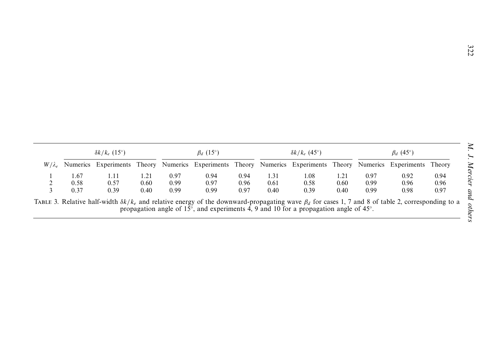|               | $\delta k/k_e$ (15°) |                                                                                                                 | $\beta_d$ (15°) |      | $\delta k/k_e$ (45°) |      |      | $\beta_d$ (45°) |      |      |      |      |
|---------------|----------------------|-----------------------------------------------------------------------------------------------------------------|-----------------|------|----------------------|------|------|-----------------|------|------|------|------|
| $W/\lambda_e$ |                      | Numerics Experiments Theory Numerics Experiments Theory Numerics Experiments Theory Numerics Experiments Theory |                 |      |                      |      |      |                 |      |      |      |      |
|               | 1.67                 | 1.11                                                                                                            | 1.21            | 0.97 | 0.94                 | 0.94 | 1.31 | 1.08            | 1.21 | 0.97 | 0.92 | 0.94 |
|               | 0.58                 | 0.57                                                                                                            | 0.60            | 0.99 | 0.97                 | 0.96 | 0.61 | 0.58            | 0.60 | 0.99 | 0.96 | 0.96 |
|               | 0.37                 | 0.39                                                                                                            | 0.40            | 0.99 | 0.99                 | 0.97 | 0.40 | 0.39            | 0.40 | 0.99 | 0.98 | 0.97 |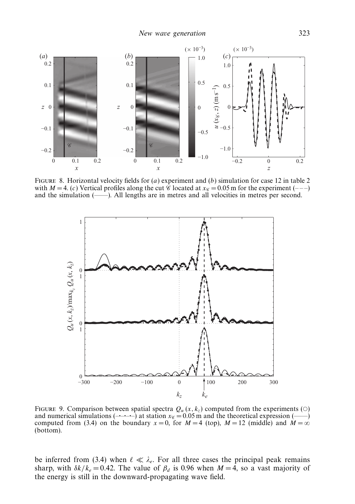

FIGURE 8. Horizontal velocity fields for (a) experiment and (b) simulation for case 12 in table 2 with  $M = 4$ . (c) Vertical profiles along the cut  $\mathcal{C}$  located at  $x_{\mathcal{C}} = 0.05$  m for the experiment (---) and the simulation (——). All lengths are in metres and all velocities in metres per second.



FIGURE 9. Comparison between spatial spectra  $Q_u(x, k_z)$  computed from the experiments (O) and numerical simulations ( $\rightarrow$  -----) at station  $x_{\ell} = 0.05$  m and the theoretical expression ( $\rightarrow$ ) computed from (3.4) on the boundary  $x = 0$ , for  $M = 4$  (top),  $M = 12$  (middle) and  $M = \infty$ (bottom).

be inferred from (3.4) when  $\ell \ll \lambda_e$ . For all three cases the principal peak remains sharp, with  $\delta k/k_e = 0.42$ . The value of  $\beta_d$  is 0.96 when  $M = 4$ , so a vast majority of the energy is still in the downward-propagating wave field.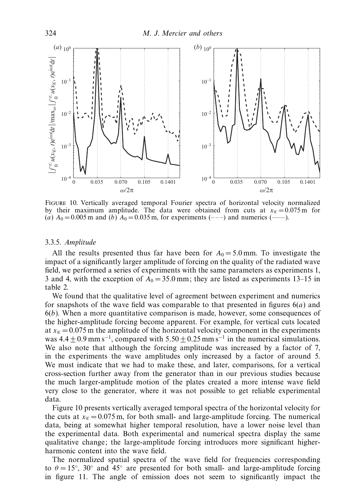

Figure 10. Vertically averaged temporal Fourier spectra of horizontal velocity normalized by their maximum amplitude. The data were obtained from cuts at  $x_{\mathscr{C}} = 0.075$  m for (a)  $A_0 = 0.005$  m and (b)  $A_0 = 0.035$  m, for experiments (---) and numerics (----).

## 3.3.5. Amplitude

All the results presented thus far have been for  $A_0 = 5.0$  mm. To investigate the impact of a significantly larger amplitude of forcing on the quality of the radiated wave field, we performed a series of experiments with the same parameters as experiments 1, 3 and 4, with the exception of  $A_0 = 35.0$  mm; they are listed as experiments 13–15 in table 2.

We found that the qualitative level of agreement between experiment and numerics for snapshots of the wave field was comparable to that presented in figures  $6(a)$  and  $6(b)$ . When a more quantitative comparison is made, however, some consequences of the higher-amplitude forcing become apparent. For example, for vertical cuts located at  $x_{\infty} = 0.075$  m the amplitude of the horizontal velocity component in the experiments was  $4.4 \pm 0.9$  mm s<sup>-1</sup>, compared with  $5.50 \pm 0.25$  mm s<sup>-1</sup> in the numerical simulations. We also note that although the forcing amplitude was increased by a factor of 7, in the experiments the wave amplitudes only increased by a factor of around 5. We must indicate that we had to make these, and later, comparisons, for a vertical cross-section further away from the generator than in our previous studies because the much larger-amplitude motion of the plates created a more intense wave field very close to the generator, where it was not possible to get reliable experimental data.

Figure 10 presents vertically averaged temporal spectra of the horizontal velocity for the cuts at  $x_{\mathscr{C}} = 0.075$  m, for both small- and large-amplitude forcing. The numerical data, being at somewhat higher temporal resolution, have a lower noise level than the experimental data. Both experimental and numerical spectra display the same qualitative change; the large-amplitude forcing introduces more significant higherharmonic content into the wave field.

The normalized spatial spectra of the wave field for frequencies corresponding to  $\theta = 15^\circ$ , 30° and 45° are presented for both small- and large-amplitude forcing in figure 11. The angle of emission does not seem to significantly impact the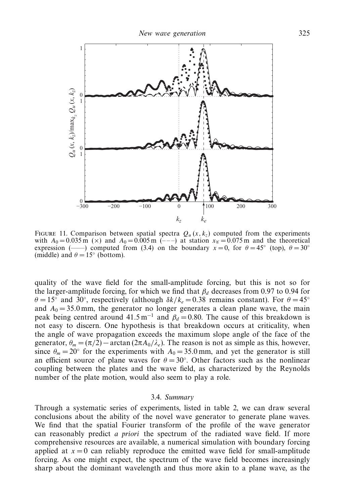

FIGURE 11. Comparison between spatial spectra  $Q_u(x, k_z)$  computed from the experiments with  $A_0 = 0.035$  m ( $\times$ ) and  $A_0 = 0.005$  m (---) at station  $x_{\mathscr{C}} = 0.075$  m and the theoretical expression (——) computed from (3.4) on the boundary  $x=0$ , for  $\theta=45^\circ$  (top),  $\theta=30^\circ$ (middle) and  $\theta = 15^{\circ}$  (bottom).

quality of the wave field for the small-amplitude forcing, but this is not so for the larger-amplitude forcing, for which we find that  $\beta_d$  decreases from 0.97 to 0.94 for  $\theta = 15^{\circ}$  and 30°, respectively (although  $\delta k / k_e = 0.38$  remains constant). For  $\theta = 45^{\circ}$ and  $A_0 = 35.0$  mm, the generator no longer generates a clean plane wave, the main peak being centred around 41.5 m<sup>-1</sup> and  $\beta_d = 0.80$ . The cause of this breakdown is not easy to discern. One hypothesis is that breakdown occurs at criticality, when the angle of wave propagation exceeds the maximum slope angle of the face of the generator,  $\theta_m = (\pi/2) - \arctan(2\pi A_0/\lambda_e)$ . The reason is not as simple as this, however, since  $\theta_m = 20^\circ$  for the experiments with  $A_0 = 35.0$  mm, and yet the generator is still an efficient source of plane waves for  $\theta = 30^\circ$ . Other factors such as the nonlinear coupling between the plates and the wave field, as characterized by the Reynolds number of the plate motion, would also seem to play a role.

## 3.4. Summary

Through a systematic series of experiments, listed in table 2, we can draw several conclusions about the ability of the novel wave generator to generate plane waves. We find that the spatial Fourier transform of the profile of the wave generator can reasonably predict a priori the spectrum of the radiated wave field. If more comprehensive resources are available, a numerical simulation with boundary forcing applied at  $x = 0$  can reliably reproduce the emitted wave field for small-amplitude forcing. As one might expect, the spectrum of the wave field becomes increasingly sharp about the dominant wavelength and thus more akin to a plane wave, as the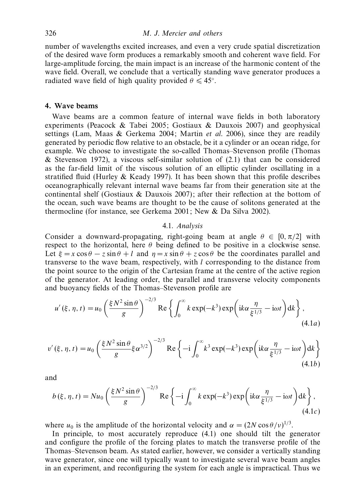number of wavelengths excited increases, and even a very crude spatial discretization of the desired wave form produces a remarkably smooth and coherent wave field. For large-amplitude forcing, the main impact is an increase of the harmonic content of the wave field. Overall, we conclude that a vertically standing wave generator produces a radiated wave field of high quality provided  $\theta \leq 45^\circ$ .

## 4. Wave beams

Wave beams are a common feature of internal wave fields in both laboratory experiments (Peacock & Tabei 2005; Gostiaux & Dauxois 2007) and geophysical settings (Lam, Maas  $\&$  Gerkema 2004; Martin *et al.* 2006), since they are readily generated by periodic flow relative to an obstacle, be it a cylinder or an ocean ridge, for example. We choose to investigate the so-called Thomas–Stevenson profile (Thomas & Stevenson 1972), a viscous self-similar solution of  $(2.1)$  that can be considered as the far-field limit of the viscous solution of an elliptic cylinder oscillating in a stratified fluid (Hurley & Keady 1997). It has been shown that this profile describes oceanographically relevant internal wave beams far from their generation site at the continental shelf (Gostiaux  $\&$  Dauxois 2007); after their reflection at the bottom of the ocean, such wave beams are thought to be the cause of solitons generated at the thermocline (for instance, see Gerkema 2001; New & Da Silva 2002).

#### 4.1. Analysis

Consider a downward-propagating, right-going beam at angle  $\theta \in [0, \pi/2]$  with respect to the horizontal, here  $\theta$  being defined to be positive in a clockwise sense. Let  $\xi = x \cos \theta - z \sin \theta + l$  and  $\eta = x \sin \theta + z \cos \theta$  be the coordinates parallel and transverse to the wave beam, respectively, with l corresponding to the distance from the point source to the origin of the Cartesian frame at the centre of the active region of the generator. At leading order, the parallel and transverse velocity components and buoyancy fields of the Thomas–Stevenson profile are

$$
u'(\xi, \eta, t) = u_0 \left(\frac{\xi N^2 \sin \theta}{g}\right)^{-2/3} \text{Re}\left\{\int_0^\infty k \exp(-k^3) \exp\left(ik\alpha \frac{\eta}{\xi^{1/3}} - i\omega t\right) dk\right\},\tag{4.1a}
$$

$$
v'(\xi, \eta, t) = u_0 \left(\frac{\xi N^2 \sin \theta}{g} \xi \alpha^{3/2}\right)^{-2/3} \operatorname{Re} \left\{-i \int_0^\infty k^3 \exp(-k^3) \exp\left(ik\alpha \frac{\eta}{\xi^{1/3}} - i\omega t\right) dk\right\}
$$
(4.1b)

and

$$
b(\xi, \eta, t) = Nu_0 \left(\frac{\xi N^2 \sin \theta}{g}\right)^{-2/3} \text{Re}\left\{-i \int_0^\infty k \exp(-k^3) \exp\left(ik\alpha \frac{\eta}{\xi^{1/3}} - i\omega t\right) dk\right\},\tag{4.1c}
$$

where  $u_0$  is the amplitude of the horizontal velocity and  $\alpha = (2N \cos \theta / v)^{1/3}$ .

In principle, to most accurately reproduce (4.1) one should tilt the generator and configure the profile of the forcing plates to match the transverse profile of the Thomas–Stevenson beam. As stated earlier, however, we consider a vertically standing wave generator, since one will typically want to investigate several wave beam angles in an experiment, and reconfiguring the system for each angle is impractical. Thus we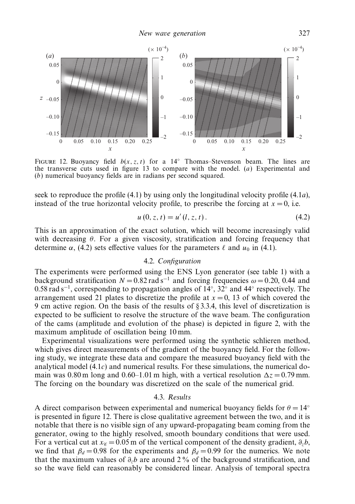

FIGURE 12. Buoyancy field  $b(x, z, t)$  for a 14 $\degree$  Thomas–Stevenson beam. The lines are the transverse cuts used in figure 13 to compare with the model.  $(a)$  Experimental and (b) numerical buoyancy fields are in radians per second squared.

seek to reproduce the profile (4.1) by using only the longitudinal velocity profile (4.1a), instead of the true horizontal velocity profile, to prescribe the forcing at  $x = 0$ , i.e.

$$
u(0, z, t) = u'(l, z, t).
$$
 (4.2)

This is an approximation of the exact solution, which will become increasingly valid with decreasing  $\theta$ . For a given viscosity, stratification and forcing frequency that determine  $\alpha$ , (4.2) sets effective values for the parameters  $\ell$  and  $u_0$  in (4.1).

# 4.2. Configuration

The experiments were performed using the ENS Lyon generator (see table 1) with a background stratification  $N = 0.82$  rad s<sup>-1</sup> and forcing frequencies  $\omega = 0.20$ , 0.44 and 0.58 rad s<sup>-1</sup>, corresponding to propagation angles of 14°, 32° and 44° respectively. The arrangement used 21 plates to discretize the profile at  $x = 0$ , 13 of which covered the 9 cm active region. On the basis of the results of § 3.3.4, this level of discretization is expected to be sufficient to resolve the structure of the wave beam. The configuration of the cams (amplitude and evolution of the phase) is depicted in figure 2, with the maximum amplitude of oscillation being 10 mm.

Experimental visualizations were performed using the synthetic schlieren method, which gives direct measurements of the gradient of the buoyancy field. For the following study, we integrate these data and compare the measured buoyancy field with the analytical model  $(4.1c)$  and numerical results. For these simulations, the numerical domain was 0.80 m long and 0.60–1.01 m high, with a vertical resolution  $\Delta z = 0.79$  mm. The forcing on the boundary was discretized on the scale of the numerical grid.

## 4.3. Results

A direct comparison between experimental and numerical buoyancy fields for  $\theta = 14°$ is presented in figure 12. There is close qualitative agreement between the two, and it is notable that there is no visible sign of any upward-propagating beam coming from the generator, owing to the highly resolved, smooth boundary conditions that were used. For a vertical cut at  $x_{\mathscr{C}} = 0.05$  m of the vertical component of the density gradient,  $\partial_z b$ , we find that  $\beta_d = 0.98$  for the experiments and  $\beta_d = 0.99$  for the numerics. We note that the maximum values of  $\partial_z b$  are around 2% of the background stratification, and so the wave field can reasonably be considered linear. Analysis of temporal spectra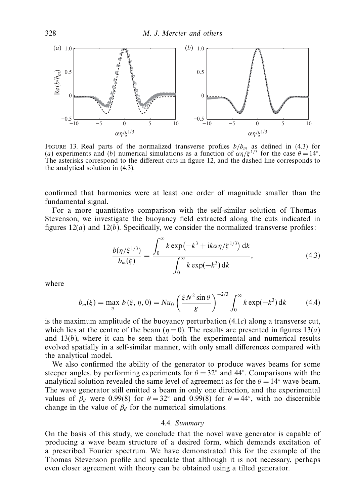

FIGURE 13. Real parts of the normalized transverse profiles  $b/b_m$  as defined in (4.3) for (a) experiments and (b) numerical simulations as a function of  $\alpha \eta/\xi^{1/3}$  for the case  $\theta = 14^{\circ}$ . The asterisks correspond to the different cuts in figure 12, and the dashed line corresponds to the analytical solution in (4.3).

confirmed that harmonics were at least one order of magnitude smaller than the fundamental signal.

For a more quantitative comparison with the self-similar solution of Thomas– Stevenson, we investigate the buoyancy field extracted along the cuts indicated in figures  $12(a)$  and  $12(b)$ . Specifically, we consider the normalized transverse profiles:

$$
\frac{b(\eta/\xi^{1/3})}{b_m(\xi)} = \frac{\int_0^\infty k \exp(-k^3 + ik\alpha \eta/\xi^{1/3}) \, \mathrm{d}k}{\int_0^\infty k \exp(-k^3) \, \mathrm{d}k},\tag{4.3}
$$

where

$$
b_m(\xi) = \max_{\eta} b(\xi, \eta, 0) = Nu_0 \left( \frac{\xi N^2 \sin \theta}{g} \right)^{-2/3} \int_0^{\infty} k \exp(-k^3) dk \tag{4.4}
$$

is the maximum amplitude of the buoyancy perturbation  $(4.1c)$  along a transverse cut, which lies at the centre of the beam  $(\eta = 0)$ . The results are presented in figures 13(*a*) and  $13(b)$ , where it can be seen that both the experimental and numerical results evolved spatially in a self-similar manner, with only small differences compared with the analytical model.

We also confirmed the ability of the generator to produce waves beams for some steeper angles, by performing experiments for  $\theta = 32°$  and 44°. Comparisons with the analytical solution revealed the same level of agreement as for the  $\theta = 14°$  wave beam. The wave generator still emitted a beam in only one direction, and the experimental values of  $\beta_d$  were 0.99(8) for  $\theta = 32^\circ$  and 0.99(8) for  $\theta = 44^\circ$ , with no discernible change in the value of  $\beta_d$  for the numerical simulations.

## 4.4. Summary

On the basis of this study, we conclude that the novel wave generator is capable of producing a wave beam structure of a desired form, which demands excitation of a prescribed Fourier spectrum. We have demonstrated this for the example of the Thomas–Stevenson profile and speculate that although it is not necessary, perhaps even closer agreement with theory can be obtained using a tilted generator.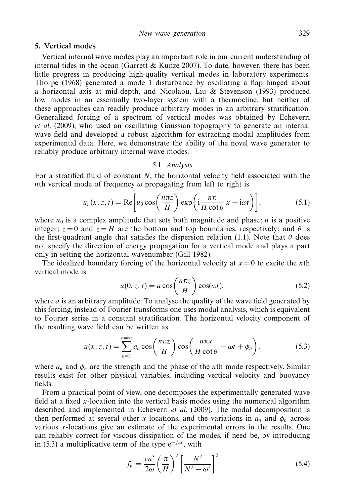## 5. Vertical modes

Vertical internal wave modes play an important role in our current understanding of internal tides in the ocean (Garrett & Kunze 2007). To date, however, there has been little progress in producing high-quality vertical modes in laboratory experiments. Thorpe (1968) generated a mode 1 disturbance by oscillating a flap hinged about a horizontal axis at mid-depth, and Nicolaou, Liu & Stevenson (1993) produced low modes in an essentially two-layer system with a thermocline, but neither of these approaches can readily produce arbitrary modes in an arbitrary stratification. Generalized forcing of a spectrum of vertical modes was obtained by Echeverri et al. (2009), who used an oscillating Gaussian topography to generate an internal wave field and developed a robust algorithm for extracting modal amplitudes from experimental data. Here, we demonstrate the ability of the novel wave generator to reliably produce arbitrary internal wave modes.

## 5.1. Analysis

For a stratified fluid of constant N, the horizontal velocity field associated with the nth vertical mode of frequency  $\omega$  propagating from left to right is

$$
u_n(x, z, t) = \text{Re}\left[u_0 \cos\left(\frac{n\pi z}{H}\right) \exp\left(i\frac{n\pi}{H\cot\theta}x - i\omega t\right)\right],\tag{5.1}
$$

where  $u_0$  is a complex amplitude that sets both magnitude and phase; *n* is a positive integer;  $z = 0$  and  $z = H$  are the bottom and top boundaries, respectively; and  $\theta$  is the first-quadrant angle that satisfies the dispersion relation (1.1). Note that  $\theta$  does not specify the direction of energy propagation for a vertical mode and plays a part only in setting the horizontal wavenumber (Gill 1982).

The idealized boundary forcing of the horizontal velocity at  $x = 0$  to excite the *n*th vertical mode is

$$
u(0, z, t) = a \cos\left(\frac{n\pi z}{H}\right) \cos(\omega t),\tag{5.2}
$$

where  $a$  is an arbitrary amplitude. To analyse the quality of the wave field generated by this forcing, instead of Fourier transforms one uses modal analysis, which is equivalent to Fourier series in a constant stratification. The horizontal velocity component of the resulting wave field can be written as

$$
u(x, z, t) = \sum_{n=1}^{n=\infty} a_n \cos\left(\frac{n\pi z}{H}\right) \cos\left(\frac{n\pi x}{H \cot\theta} - \omega t + \phi_n\right),\tag{5.3}
$$

where  $a_n$  and  $\phi_n$  are the strength and the phase of the *n*th mode respectively. Similar results exist for other physical variables, including vertical velocity and buoyancy fields.

From a practical point of view, one decomposes the experimentally generated wave field at a fixed x-location into the vertical basis modes using the numerical algorithm described and implemented in Echeverri *et al.* (2009). The modal decomposition is then performed at several other x-locations, and the variations in  $a_n$  and  $\phi_n$  across various x-locations give an estimate of the experimental errors in the results. One can reliably correct for viscous dissipation of the modes, if need be, by introducing in (5.3) a multiplicative term of the type  $e^{-f_n x}$ , with

$$
f_n = \frac{\nu n^3}{2\omega} \left(\frac{\pi}{H}\right)^2 \left[\frac{N^2}{N^2 - \omega^2}\right]^2 \tag{5.4}
$$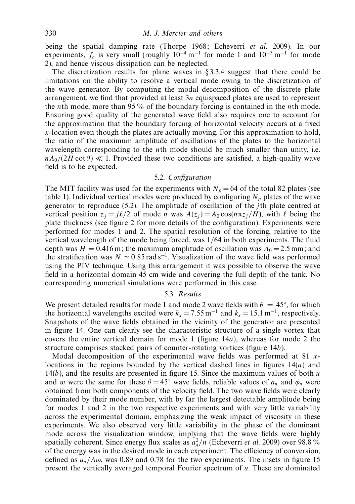being the spatial damping rate (Thorpe 1968; Echeverri et al. 2009). In our experiments,  $f_n$  is very small (roughly  $10^{-4}$  m<sup>-1</sup> for mode 1 and  $10^{-3}$  m<sup>-1</sup> for mode 2), and hence viscous dissipation can be neglected.

The discretization results for plane waves in § 3.3.4 suggest that there could be limitations on the ability to resolve a vertical mode owing to the discretization of the wave generator. By computing the modal decomposition of the discrete plate arrangement, we find that provided at least  $3n$  equispaced plates are used to represent the nth mode, more than 95 % of the boundary forcing is contained in the nth mode. Ensuring good quality of the generated wave field also requires one to account for the approximation that the boundary forcing of horizontal velocity occurs at a fixed  $x$ -location even though the plates are actually moving. For this approximation to hold, the ratio of the maximum amplitude of oscillations of the plates to the horizontal wavelength corresponding to the *n*th mode should be much smaller than unity, i.e.  $nA_0/(2H \cot \theta) \ll 1$ . Provided these two conditions are satisfied, a high-quality wave field is to be expected.

#### 5.2. Configuration

The MIT facility was used for the experiments with  $N_p = 64$  of the total 82 plates (see table 1). Individual vertical modes were produced by configuring  $N_p$  plates of the wave generator to reproduce  $(5.2)$ . The amplitude of oscillation of the *j*th plate centred at vertical position  $z_i = j\ell/2$  of mode n was  $A(z_i) = A_0 \cos(n\pi z_i/H)$ , with  $\ell$  being the plate thickness (see figure 2 for more details of the configuration). Experiments were performed for modes 1 and 2. The spatial resolution of the forcing, relative to the vertical wavelength of the mode being forced, was 1/64 in both experiments. The fluid depth was  $H = 0.416$  m; the maximum amplitude of oscillation was  $A_0 = 2.5$  mm; and the stratification was  $N \approx 0.85$  rad s<sup>-1</sup>. Visualization of the wave field was performed using the PIV technique. Using this arrangement it was possible to observe the wave field in a horizontal domain 45 cm wide and covering the full depth of the tank. No corresponding numerical simulations were performed in this case.

# 5.3. Results

We present detailed results for mode 1 and mode 2 wave fields with  $\theta = 45^{\circ}$ , for which the horizontal wavelengths excited were  $k_x = 7.55 \,\mathrm{m}^{-1}$  and  $k_x = 15.1 \,\mathrm{m}^{-1}$ , respectively. Snapshots of the wave fields obtained in the vicinity of the generator are presented in figure 14. One can clearly see the characteristic structure of a single vortex that covers the entire vertical domain for mode 1 (figure  $14a$ ), whereas for mode 2 the structure comprises stacked pairs of counter-rotating vortices (figure 14b).

Modal decomposition of the experimental wave fields was performed at 81 xlocations in the regions bounded by the vertical dashed lines in figures  $14(a)$  and  $14(b)$ , and the results are presented in figure 15. Since the maximum values of both u and w were the same for these  $\theta = 45^\circ$  wave fields, reliable values of  $a_n$  and  $\phi_n$  were obtained from both components of the velocity field. The two wave fields were clearly dominated by their mode number, with by far the largest detectable amplitude being for modes 1 and 2 in the two respective experiments and with very little variability across the experimental domain, emphasizing the weak impact of viscosity in these experiments. We also observed very little variability in the phase of the dominant mode across the visualization window, implying that the wave fields were highly spatially coherent. Since energy flux scales as  $a_n^2/n$  (Echeverri *et al.* 2009) over 98.8% of the energy was in the desired mode in each experiment. The efficiency of conversion, defined as  $a_n/A\omega$ , was 0.89 and 0.78 for the two experiments. The insets in figure 15 present the vertically averaged temporal Fourier spectrum of u. These are dominated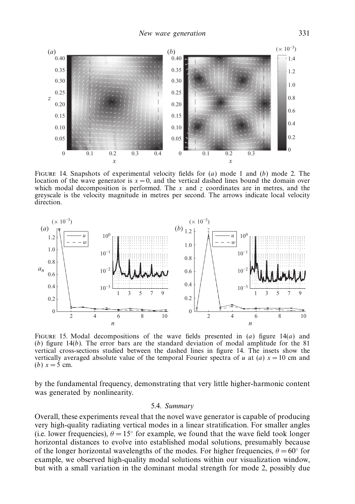

FIGURE 14. Snapshots of experimental velocity fields for  $(a)$  mode 1 and  $(b)$  mode 2. The location of the wave generator is  $x = 0$ , and the vertical dashed lines bound the domain over which modal decomposition is performed. The  $x$  and  $z$  coordinates are in metres, and the greyscale is the velocity magnitude in metres per second. The arrows indicate local velocity direction.



FIGURE 15. Modal decompositions of the wave fields presented in  $(a)$  figure 14 $(a)$  and  $(b)$  figure 14 $(b)$ . The error bars are the standard deviation of modal amplitude for the 81 vertical cross-sections studied between the dashed lines in figure 14. The insets show the vertically averaged absolute value of the temporal Fourier spectra of u at (a)  $x = 10$  cm and (*b*)  $x = 5$  cm.

by the fundamental frequency, demonstrating that very little higher-harmonic content was generated by nonlinearity.

## 5.4. Summary

Overall, these experiments reveal that the novel wave generator is capable of producing very high-quality radiating vertical modes in a linear stratification. For smaller angles (i.e. lower frequencies),  $\theta = 15^{\circ}$  for example, we found that the wave field took longer horizontal distances to evolve into established modal solutions, presumably because of the longer horizontal wavelengths of the modes. For higher frequencies,  $\theta = 60^\circ$  for example, we observed high-quality modal solutions within our visualization window, but with a small variation in the dominant modal strength for mode 2, possibly due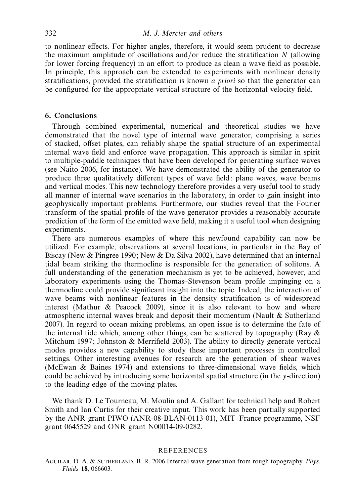to nonlinear effects. For higher angles, therefore, it would seem prudent to decrease the maximum amplitude of oscillations and/or reduce the stratification N (allowing for lower forcing frequency) in an effort to produce as clean a wave field as possible. In principle, this approach can be extended to experiments with nonlinear density stratifications, provided the stratification is known a priori so that the generator can be configured for the appropriate vertical structure of the horizontal velocity field.

# 6. Conclusions

Through combined experimental, numerical and theoretical studies we have demonstrated that the novel type of internal wave generator, comprising a series of stacked, offset plates, can reliably shape the spatial structure of an experimental internal wave field and enforce wave propagation. This approach is similar in spirit to multiple-paddle techniques that have been developed for generating surface waves (see Naito 2006, for instance). We have demonstrated the ability of the generator to produce three qualitatively different types of wave field: plane waves, wave beams and vertical modes. This new technology therefore provides a very useful tool to study all manner of internal wave scenarios in the laboratory, in order to gain insight into geophysically important problems. Furthermore, our studies reveal that the Fourier transform of the spatial profile of the wave generator provides a reasonably accurate prediction of the form of the emitted wave field, making it a useful tool when designing experiments.

There are numerous examples of where this newfound capability can now be utilized. For example, observations at several locations, in particular in the Bay of Biscay (New & Pingree 1990; New & Da Silva 2002), have determined that an internal tidal beam striking the thermocline is responsible for the generation of solitons. A full understanding of the generation mechanism is yet to be achieved, however, and laboratory experiments using the Thomas–Stevenson beam profile impinging on a thermocline could provide significant insight into the topic. Indeed, the interaction of wave beams with nonlinear features in the density stratification is of widespread interest (Mathur & Peacock 2009), since it is also relevant to how and where atmospheric internal waves break and deposit their momentum (Nault & Sutherland 2007). In regard to ocean mixing problems, an open issue is to determine the fate of the internal tide which, among other things, can be scattered by topography (Ray  $\&$ Mitchum 1997; Johnston & Merrifield 2003). The ability to directly generate vertical modes provides a new capability to study these important processes in controlled settings. Other interesting avenues for research are the generation of shear waves (McEwan & Baines 1974) and extensions to three-dimensional wave fields, which could be achieved by introducing some horizontal spatial structure (in the y-direction) to the leading edge of the moving plates.

We thank D. Le Tourneau, M. Moulin and A. Gallant for technical help and Robert Smith and Ian Curtis for their creative input. This work has been partially supported by the ANR grant PIWO (ANR-08-BLAN-0113-01), MIT–France programme, NSF grant 0645529 and ONR grant N00014-09-0282.

## **REFERENCES**

Aguilar, D. A. & Sutherland, B. R. 2006 Internal wave generation from rough topography. Phys. Fluids 18, 066603.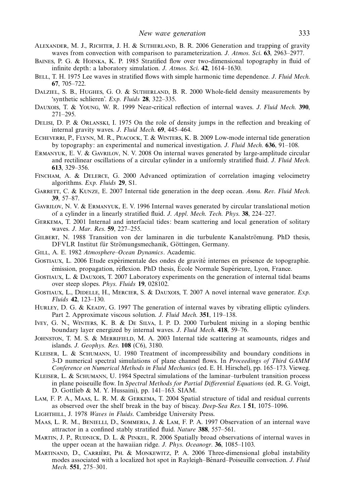- Alexander, M. J., Richter, J. H. & Sutherland, B. R. 2006 Generation and trapping of gravity waves from convection with comparison to parameterization. J. Atmos. Sci. 63, 2963–2977.
- Baines, P. G. & Hoinka, K. P. 1985 Stratified flow over two-dimensional topography in fluid of infinite depth: a laboratory simulation. J. Atmos. Sci. 42, 1614–1630.
- BELL, T. H. 1975 Lee waves in stratified flows with simple harmonic time dependence. J. Fluid Mech. 67, 705–722.
- DALZIEL, S. B., HUGHES, G. O. & SUTHERLAND, B. R. 2000 Whole-field density measurements by 'synthetic schlieren'. Exp. Fluids 28, 322–335.
- DAUXOIS, T. & YOUNG, W. R. 1999 Near-critical reflection of internal waves. J. Fluid Mech. 390, 271–295.
- Delisi, D. P. & Orlanski, I. 1975 On the role of density jumps in the reflection and breaking of internal gravity waves. J. Fluid Mech. 69, 445–464.
- Echeverri, P., Flynn, M. R., Peacock, T. & Winters, K. B. 2009 Low-mode internal tide generation by topography: an experimental and numerical investigation. J. Fluid Mech. 636, 91–108.
- Ermanyuk, E. V. & Gavrilov, N. V. 2008 On internal waves generated by large-amplitude circular and rectilinear oscillations of a circular cylinder in a uniformly stratified fluid. J. Fluid Mech. 613, 329–356.
- Fincham, A. & Delerce, G. 2000 Advanced optimization of correlation imaging velocimetry algorithms. Exp. Fluids 29, S1.
- GARRETT, C. & KUNZE, E. 2007 Internal tide generation in the deep ocean. Annu. Rev. Fluid Mech. 39, 57–87.
- Gavrilov, N. V. & Ermanyuk, E. V. 1996 Internal waves generated by circular translational motion of a cylinder in a linearly stratified fluid. J. Appl. Mech. Tech. Phys. 38, 224–227.
- Gerkema, T. 2001 Internal and interfacial tides: beam scattering and local generation of solitary waves. J. Mar. Res. 59, 227–255.
- GILBERT, N. 1988 Transition von der laminaren in die turbulente Kanalströmung. PhD thesis, DFVLR Institut für Strömungsmechanik, Göttingen, Germany.
- GILL, A. E. 1982 Atmosphere–Ocean Dynamics. Academic.
- GOSTIAUX, L. 2006 Etude expérimentale des ondes de gravité internes en présence de topographie. émission, propagation, réflexion. PhD thesis, École Normale Supérieure, Lyon, France.
- Gostiaux, L. & Dauxois, T. 2007 Laboratory experiments on the generation of internal tidal beams over steep slopes. Phys. Fluids 19, 028102.
- GOSTIAUX, L., DIDELLE, H., MERCIER, S. & DAUXOIS, T. 2007 A novel internal wave generator. Exp. Fluids 42, 123–130.
- HURLEY, D. G. & KEADY, G. 1997 The generation of internal waves by vibrating elliptic cylinders. Part 2. Approximate viscous solution. J. Fluid Mech. 351, 119–138.
- Ivey, G. N., Winters, K. B. & De Silva, I. P. D. 2000 Turbulent mixing in a sloping benthic boundary layer energized by internal waves. J. Fluid Mech. 418, 59–76.
- JOHNSTON, T. M. S. & MERRIFIELD, M. A. 2003 Internal tide scattering at seamounts, ridges and islands. J. Geophys. Res. 108 (C6), 3180.
- Kleiser, L. & Schumann, U. 1980 Treatment of incompressibility and boundary conditions in 3-D numerical spectral simulations of plane channel flows. In Proceedings of Third GAMM Conference on Numerical Methods in Fluid Mechanics (ed. E. H. Hirschel), pp. 165–173. Vieweg.
- Kleiser, L. & Schumann, U. 1984 Spectral simulations of the laminar–turbulent transition process in plane poiseuille flow. In Spectral Methods for Partial Differential Equations (ed. R. G. Voigt, D. Gottlieb & M. Y. Hussaini), pp. 141–163. SIAM.
- Lam, F. P. A., Maas, L. R. M. & Gerkema, T. 2004 Spatial structure of tidal and residual currents as observed over the shelf break in the bay of biscay. Deep-Sea Res. I 51, 1075–1096.
- LIGHTHILL, J. 1978 Waves in Fluids. Cambridge University Press.
- Maas, L. R. M., Benielli, D., Sommeria, J. & Lam, F. P. A. 1997 Observation of an internal wave attractor in a confined stably stratified fluid. Nature 388, 557–561.
- MARTIN, J. P., RUDNICK, D. L. & PINKEL, R. 2006 Spatially broad observations of internal waves in the upper ocean at the hawaiian ridge. J. Phys. Oceanogr. 36, 1085–1103.
- MARTINAND, D., CARRIÈRE, PH. & MONKEWITZ, P. A. 2006 Three-dimensional global instability modes associated with a localized hot spot in Rayleigh–Bénard–Poiseuille convection. *J. Fluid* Mech. 551, 275–301.